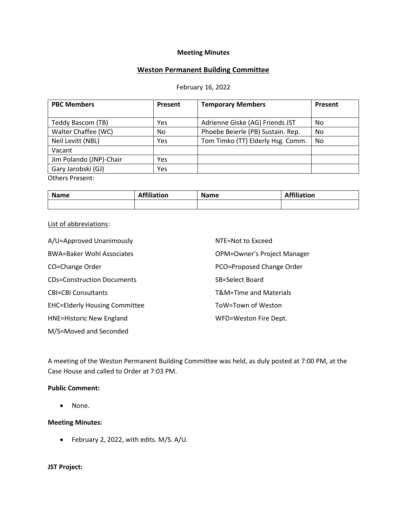#### **Meeting Minutes**

# **Weston Permanent Building Committee**

#### February 16, 2022

| <b>PBC Members</b>      | Present | <b>Temporary Members</b>          | Present |
|-------------------------|---------|-----------------------------------|---------|
|                         |         |                                   |         |
| Teddy Bascom (TB)       | Yes     | Adrienne Giske (AG) Friends JST   | No      |
| Walter Chaffee (WC)     | No.     | Phoebe Beierle (PB) Sustain. Rep. | No      |
| Neil Levitt (NBL)       | Yes     | Tom Timko (TT) Elderly Hsg. Comm. | No      |
| Vacant                  |         |                                   |         |
| Jim Polando (JNP)-Chair | Yes     |                                   |         |
| Gary Jarobski (GJ)      | Yes     |                                   |         |
| <b>Others Present:</b>  |         |                                   |         |

**Name Affiliation Name Affiliation Affiliation** 

#### List of abbreviations:

| A/U=Approved Unanimously             | NTE=Not to Exceed                  |
|--------------------------------------|------------------------------------|
| <b>BWA=Baker Wohl Associates</b>     | <b>OPM=Owner's Project Manager</b> |
| CO=Change Order                      | PCO=Proposed Change Order          |
| <b>CDs=Construction Documents</b>    | SB=Select Board                    |
| <b>CBI=CBI Consultants</b>           | T&M=Time and Materials             |
| <b>EHC=Elderly Housing Committee</b> | ToW=Town of Weston                 |
| <b>HNE=Historic New England</b>      | WFD=Weston Fire Dept.              |
| M/S=Moved and Seconded               |                                    |

A meeting of the Weston Permanent Building Committee was held, as duly posted at 7:00 PM, at the Case House and called to Order at 7:03 PM.

## **Public Comment:**

• None.

#### **Meeting Minutes:**

• February 2, 2022, with edits. M/S. A/U.

## **JST Project:**